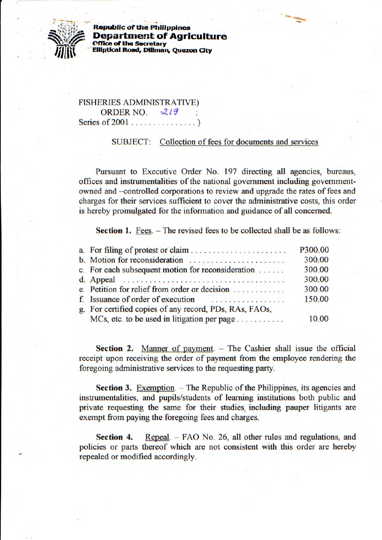

**Republic of the Philippines Department of Agriculture (fflie of the Secretary Elliptical Road, Diliman, Quezon City** 

FISHERIES ADMINISTRATIVE) ORDER NO. 219 Series of 2001 ...............)

## SUBJECT: Collection of fees for documents and services

Pursuant to Executive Order No. 197 directing all agencies, bureaus, offices and instrumentalities of the national government including governmentowned and —controlled corporations to review and upgrade the rates of fees and charges for their services sufficient to cover the administrative costs, this order is hereby promulgated for the information and guidance of all concerned.

**Section 1.** Fees. – The revised fees to be collected shall be as follows:

|                                                        | P300.00 |
|--------------------------------------------------------|---------|
| b. Motion for reconsideration                          | 300.00  |
| c. For each subsequent motion for reconsideration      | 300.00  |
|                                                        | 300.00  |
| e. Petition for relief from order or decision          | 300.00  |
| f. Issuance of order of execution                      | 150.00  |
| g. For certified copies of any record, PDs, RAs, FAOs, |         |
| MCs, etc. to be used in litigation per page            | 10.00   |

**Section 2.** Manner of payment. - The Cashier shall issue the official receipt upon receiving the order of payment from the employee rendering the foregoing administrative services to the requesting party.

**Section 3.** Exemption. - The Republic of the Philippines, its agencies and instrumentalities, and pupils/students of learning institutions both public and private requesting the same for their studies, including pauper litigants are exempt from paying the foregoing fees and charges.

**Section 4.** Repeal. - FAO No. 26, all other rules and regulations, and policies or parts thereof which are not consistent with this order are hereby repealed or modified accordingly.